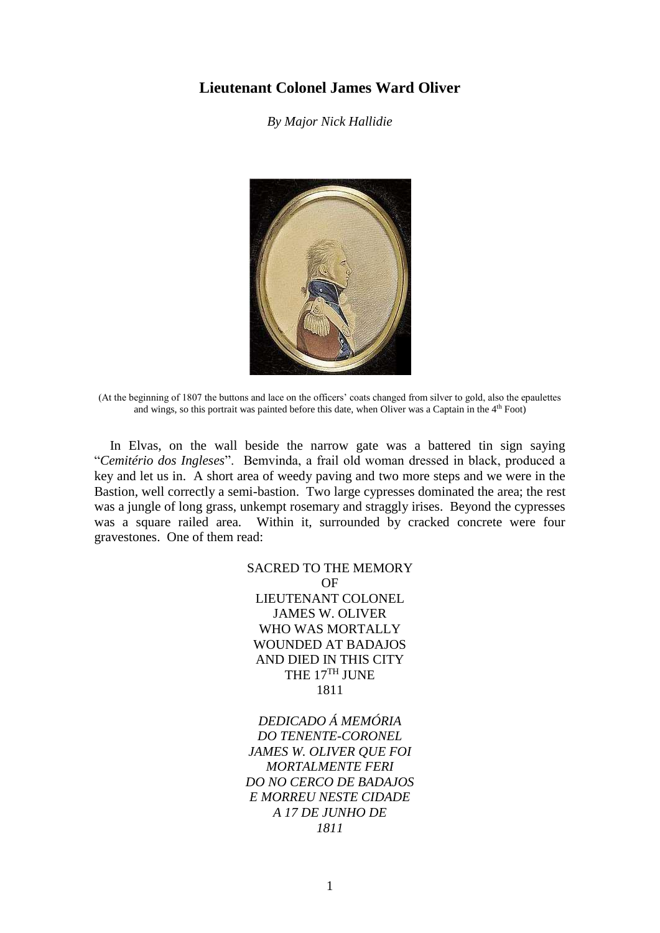## **Lieutenant Colonel James Ward Oliver**

*By Major Nick Hallidie*



(At the beginning of 1807 the buttons and lace on the officers' coats changed from silver to gold, also the epaulettes and wings, so this portrait was painted before this date, when Oliver was a Captain in the 4th Foot)

In Elvas, on the wall beside the narrow gate was a battered tin sign saying "*Cemitério dos Ingleses*". Bemvinda, a frail old woman dressed in black, produced a key and let us in. A short area of weedy paving and two more steps and we were in the Bastion, well correctly a semi-bastion. Two large cypresses dominated the area; the rest was a jungle of long grass, unkempt rosemary and straggly irises. Beyond the cypresses was a square railed area. Within it, surrounded by cracked concrete were four gravestones. One of them read:

> SACRED TO THE MEMORY **OF** LIEUTENANT COLONEL JAMES W. OLIVER WHO WAS MORTALLY WOUNDED AT BADAJOS AND DIED IN THIS CITY THE 17<sup>TH</sup> JUNE 1811

> *DEDICADO Á MEMÓRIA DO TENENTE-CORONEL JAMES W. OLIVER QUE FOI MORTALMENTE FERI DO NO CERCO DE BADAJOS E MORREU NESTE CIDADE A 17 DE JUNHO DE 1811*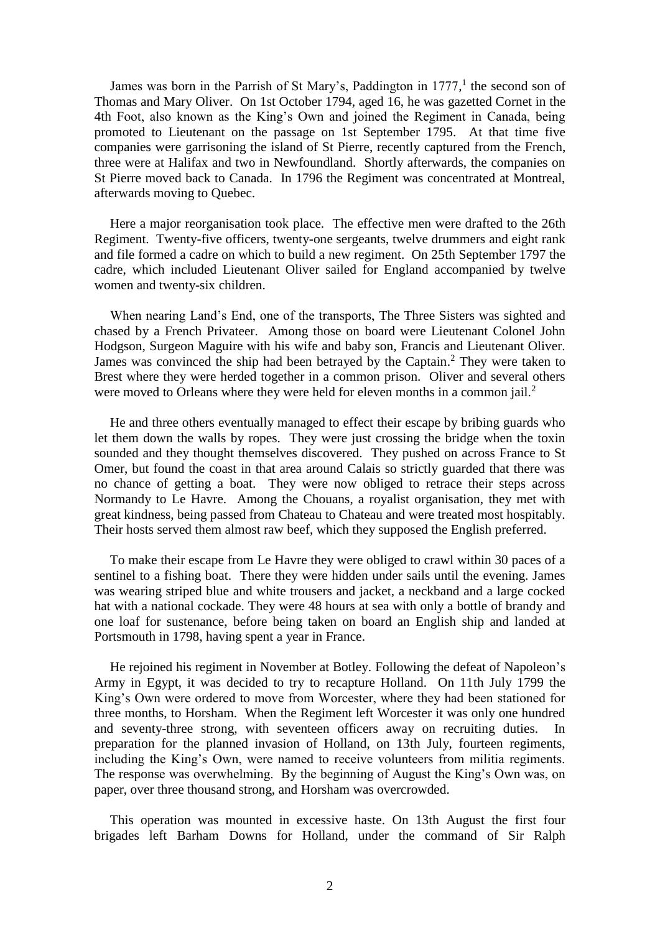James was born in the Parrish of St Mary's, Paddington in 1777,<sup>1</sup> the second son of Thomas and Mary Oliver. On 1st October 1794, aged 16, he was gazetted Cornet in the 4th Foot, also known as the King's Own and joined the Regiment in Canada, being promoted to Lieutenant on the passage on 1st September 1795. At that time five companies were garrisoning the island of St Pierre, recently captured from the French, three were at Halifax and two in Newfoundland. Shortly afterwards, the companies on St Pierre moved back to Canada. In 1796 the Regiment was concentrated at Montreal, afterwards moving to Quebec.

Here a major reorganisation took place. The effective men were drafted to the 26th Regiment. Twenty-five officers, twenty-one sergeants, twelve drummers and eight rank and file formed a cadre on which to build a new regiment. On 25th September 1797 the cadre, which included Lieutenant Oliver sailed for England accompanied by twelve women and twenty-six children.

When nearing Land's End, one of the transports, The Three Sisters was sighted and chased by a French Privateer. Among those on board were Lieutenant Colonel John Hodgson, Surgeon Maguire with his wife and baby son, Francis and Lieutenant Oliver. James was convinced the ship had been betrayed by the Captain. <sup>2</sup> They were taken to Brest where they were herded together in a common prison. Oliver and several others were moved to Orleans where they were held for eleven months in a common jail.<sup>2</sup>

He and three others eventually managed to effect their escape by bribing guards who let them down the walls by ropes. They were just crossing the bridge when the toxin sounded and they thought themselves discovered. They pushed on across France to St Omer, but found the coast in that area around Calais so strictly guarded that there was no chance of getting a boat. They were now obliged to retrace their steps across Normandy to Le Havre. Among the Chouans, a royalist organisation, they met with great kindness, being passed from Chateau to Chateau and were treated most hospitably. Their hosts served them almost raw beef, which they supposed the English preferred.

To make their escape from Le Havre they were obliged to crawl within 30 paces of a sentinel to a fishing boat. There they were hidden under sails until the evening. James was wearing striped blue and white trousers and jacket, a neckband and a large cocked hat with a national cockade. They were 48 hours at sea with only a bottle of brandy and one loaf for sustenance, before being taken on board an English ship and landed at Portsmouth in 1798, having spent a year in France.

He rejoined his regiment in November at Botley. Following the defeat of Napoleon's Army in Egypt, it was decided to try to recapture Holland. On 11th July 1799 the King's Own were ordered to move from Worcester, where they had been stationed for three months, to Horsham. When the Regiment left Worcester it was only one hundred and seventy-three strong, with seventeen officers away on recruiting duties. In preparation for the planned invasion of Holland, on 13th July, fourteen regiments, including the King's Own, were named to receive volunteers from militia regiments. The response was overwhelming. By the beginning of August the King's Own was, on paper, over three thousand strong, and Horsham was overcrowded.

This operation was mounted in excessive haste. On 13th August the first four brigades left Barham Downs for Holland, under the command of Sir Ralph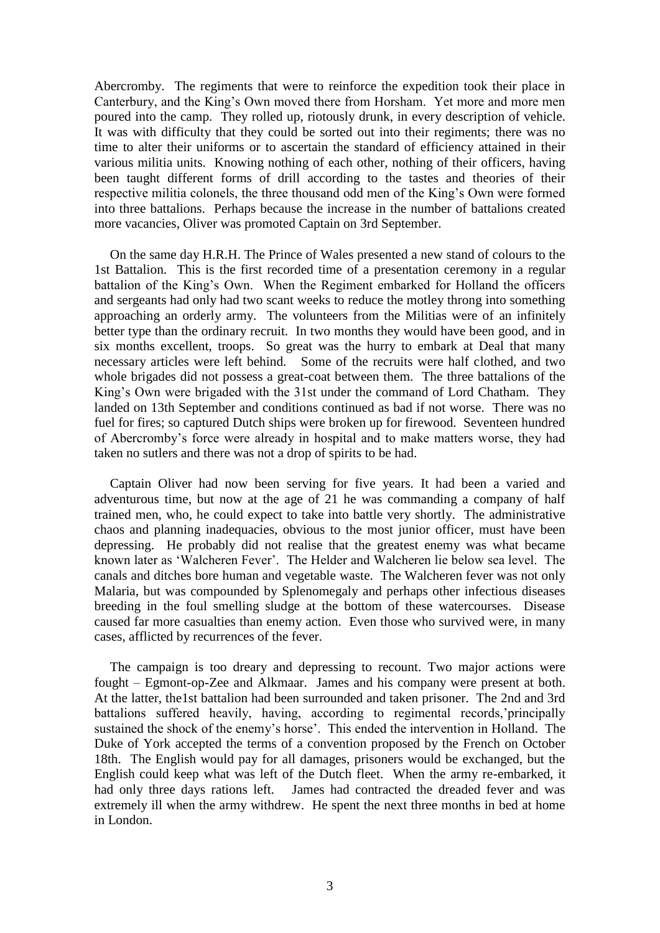Abercromby. The regiments that were to reinforce the expedition took their place in Canterbury, and the King's Own moved there from Horsham. Yet more and more men poured into the camp. They rolled up, riotously drunk, in every description of vehicle. It was with difficulty that they could be sorted out into their regiments; there was no time to alter their uniforms or to ascertain the standard of efficiency attained in their various militia units. Knowing nothing of each other, nothing of their officers, having been taught different forms of drill according to the tastes and theories of their respective militia colonels, the three thousand odd men of the King's Own were formed into three battalions. Perhaps because the increase in the number of battalions created more vacancies, Oliver was promoted Captain on 3rd September.

On the same day H.R.H. The Prince of Wales presented a new stand of colours to the 1st Battalion. This is the first recorded time of a presentation ceremony in a regular battalion of the King's Own. When the Regiment embarked for Holland the officers and sergeants had only had two scant weeks to reduce the motley throng into something approaching an orderly army. The volunteers from the Militias were of an infinitely better type than the ordinary recruit. In two months they would have been good, and in six months excellent, troops. So great was the hurry to embark at Deal that many necessary articles were left behind. Some of the recruits were half clothed, and two whole brigades did not possess a great-coat between them. The three battalions of the King's Own were brigaded with the 31st under the command of Lord Chatham. They landed on 13th September and conditions continued as bad if not worse. There was no fuel for fires; so captured Dutch ships were broken up for firewood. Seventeen hundred of Abercromby's force were already in hospital and to make matters worse, they had taken no sutlers and there was not a drop of spirits to be had.

Captain Oliver had now been serving for five years. It had been a varied and adventurous time, but now at the age of 21 he was commanding a company of half trained men, who, he could expect to take into battle very shortly. The administrative chaos and planning inadequacies, obvious to the most junior officer, must have been depressing. He probably did not realise that the greatest enemy was what became known later as 'Walcheren Fever'. The Helder and Walcheren lie below sea level. The canals and ditches bore human and vegetable waste. The Walcheren fever was not only Malaria, but was compounded by Splenomegaly and perhaps other infectious diseases breeding in the foul smelling sludge at the bottom of these watercourses. Disease caused far more casualties than enemy action. Even those who survived were, in many cases, afflicted by recurrences of the fever.

The campaign is too dreary and depressing to recount. Two major actions were fought – Egmont-op-Zee and Alkmaar. James and his company were present at both. At the latter, the1st battalion had been surrounded and taken prisoner. The 2nd and 3rd battalions suffered heavily, having, according to regimental records,'principally sustained the shock of the enemy's horse'. This ended the intervention in Holland. The Duke of York accepted the terms of a convention proposed by the French on October 18th. The English would pay for all damages, prisoners would be exchanged, but the English could keep what was left of the Dutch fleet. When the army re-embarked, it had only three days rations left. James had contracted the dreaded fever and was extremely ill when the army withdrew. He spent the next three months in bed at home in London.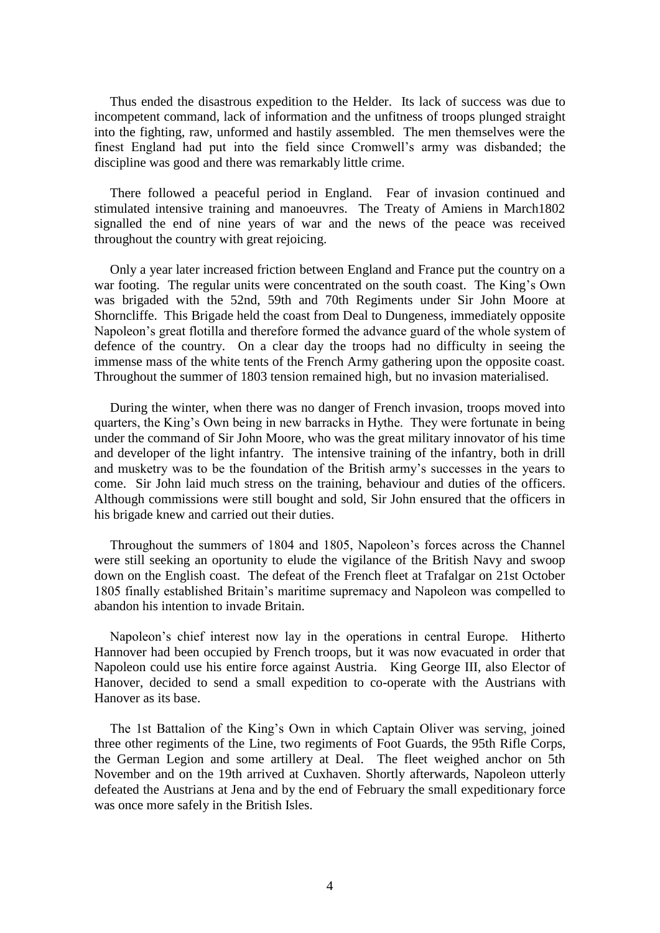Thus ended the disastrous expedition to the Helder. Its lack of success was due to incompetent command, lack of information and the unfitness of troops plunged straight into the fighting, raw, unformed and hastily assembled. The men themselves were the finest England had put into the field since Cromwell's army was disbanded; the discipline was good and there was remarkably little crime.

There followed a peaceful period in England. Fear of invasion continued and stimulated intensive training and manoeuvres. The Treaty of Amiens in March1802 signalled the end of nine years of war and the news of the peace was received throughout the country with great rejoicing.

Only a year later increased friction between England and France put the country on a war footing. The regular units were concentrated on the south coast. The King's Own was brigaded with the 52nd, 59th and 70th Regiments under Sir John Moore at Shorncliffe. This Brigade held the coast from Deal to Dungeness, immediately opposite Napoleon's great flotilla and therefore formed the advance guard of the whole system of defence of the country. On a clear day the troops had no difficulty in seeing the immense mass of the white tents of the French Army gathering upon the opposite coast. Throughout the summer of 1803 tension remained high, but no invasion materialised.

During the winter, when there was no danger of French invasion, troops moved into quarters, the King's Own being in new barracks in Hythe. They were fortunate in being under the command of Sir John Moore, who was the great military innovator of his time and developer of the light infantry. The intensive training of the infantry, both in drill and musketry was to be the foundation of the British army's successes in the years to come. Sir John laid much stress on the training, behaviour and duties of the officers. Although commissions were still bought and sold, Sir John ensured that the officers in his brigade knew and carried out their duties.

Throughout the summers of 1804 and 1805, Napoleon's forces across the Channel were still seeking an oportunity to elude the vigilance of the British Navy and swoop down on the English coast. The defeat of the French fleet at Trafalgar on 21st October 1805 finally established Britain's maritime supremacy and Napoleon was compelled to abandon his intention to invade Britain.

Napoleon's chief interest now lay in the operations in central Europe. Hitherto Hannover had been occupied by French troops, but it was now evacuated in order that Napoleon could use his entire force against Austria. King George III, also Elector of Hanover, decided to send a small expedition to co-operate with the Austrians with Hanover as its base.

The 1st Battalion of the King's Own in which Captain Oliver was serving, joined three other regiments of the Line, two regiments of Foot Guards, the 95th Rifle Corps, the German Legion and some artillery at Deal. The fleet weighed anchor on 5th November and on the 19th arrived at Cuxhaven. Shortly afterwards, Napoleon utterly defeated the Austrians at Jena and by the end of February the small expeditionary force was once more safely in the British Isles.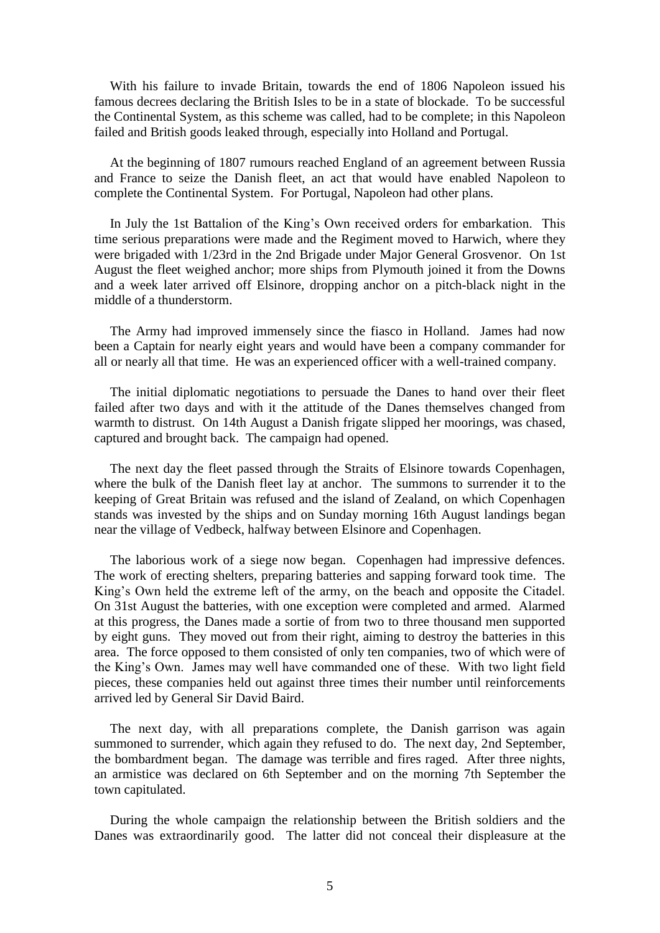With his failure to invade Britain, towards the end of 1806 Napoleon issued his famous decrees declaring the British Isles to be in a state of blockade. To be successful the Continental System, as this scheme was called, had to be complete; in this Napoleon failed and British goods leaked through, especially into Holland and Portugal.

At the beginning of 1807 rumours reached England of an agreement between Russia and France to seize the Danish fleet, an act that would have enabled Napoleon to complete the Continental System. For Portugal, Napoleon had other plans.

In July the 1st Battalion of the King's Own received orders for embarkation. This time serious preparations were made and the Regiment moved to Harwich, where they were brigaded with 1/23rd in the 2nd Brigade under Major General Grosvenor. On 1st August the fleet weighed anchor; more ships from Plymouth joined it from the Downs and a week later arrived off Elsinore, dropping anchor on a pitch-black night in the middle of a thunderstorm.

The Army had improved immensely since the fiasco in Holland. James had now been a Captain for nearly eight years and would have been a company commander for all or nearly all that time. He was an experienced officer with a well-trained company.

The initial diplomatic negotiations to persuade the Danes to hand over their fleet failed after two days and with it the attitude of the Danes themselves changed from warmth to distrust. On 14th August a Danish frigate slipped her moorings, was chased, captured and brought back. The campaign had opened.

The next day the fleet passed through the Straits of Elsinore towards Copenhagen, where the bulk of the Danish fleet lay at anchor. The summons to surrender it to the keeping of Great Britain was refused and the island of Zealand, on which Copenhagen stands was invested by the ships and on Sunday morning 16th August landings began near the village of Vedbeck, halfway between Elsinore and Copenhagen.

The laborious work of a siege now began. Copenhagen had impressive defences. The work of erecting shelters, preparing batteries and sapping forward took time. The King's Own held the extreme left of the army, on the beach and opposite the Citadel. On 31st August the batteries, with one exception were completed and armed. Alarmed at this progress, the Danes made a sortie of from two to three thousand men supported by eight guns. They moved out from their right, aiming to destroy the batteries in this area. The force opposed to them consisted of only ten companies, two of which were of the King's Own. James may well have commanded one of these. With two light field pieces, these companies held out against three times their number until reinforcements arrived led by General Sir David Baird.

The next day, with all preparations complete, the Danish garrison was again summoned to surrender, which again they refused to do. The next day, 2nd September, the bombardment began. The damage was terrible and fires raged. After three nights, an armistice was declared on 6th September and on the morning 7th September the town capitulated.

During the whole campaign the relationship between the British soldiers and the Danes was extraordinarily good. The latter did not conceal their displeasure at the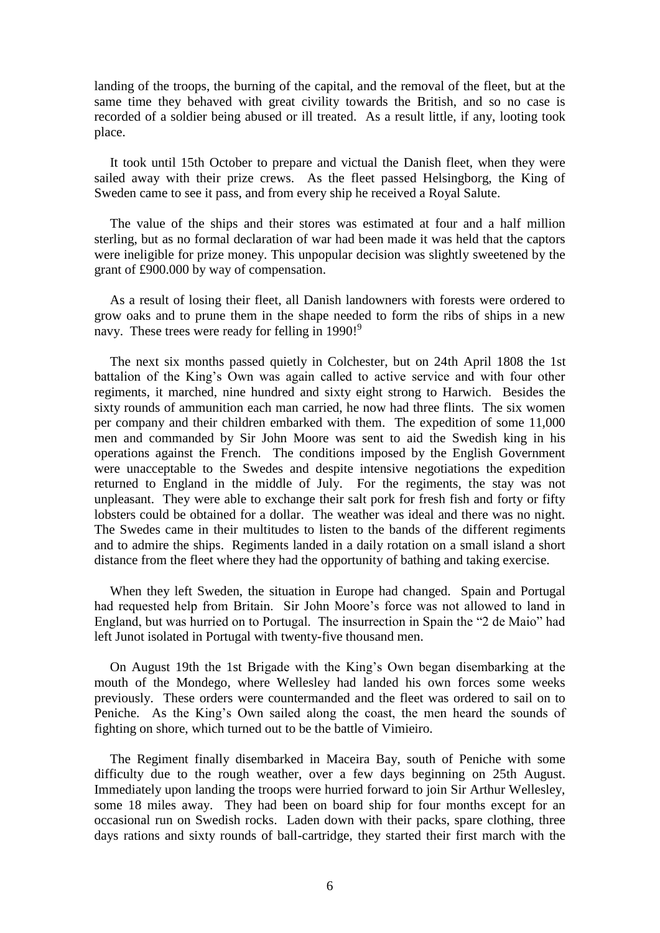landing of the troops, the burning of the capital, and the removal of the fleet, but at the same time they behaved with great civility towards the British, and so no case is recorded of a soldier being abused or ill treated. As a result little, if any, looting took place.

It took until 15th October to prepare and victual the Danish fleet, when they were sailed away with their prize crews. As the fleet passed Helsingborg, the King of Sweden came to see it pass, and from every ship he received a Royal Salute.

The value of the ships and their stores was estimated at four and a half million sterling, but as no formal declaration of war had been made it was held that the captors were ineligible for prize money. This unpopular decision was slightly sweetened by the grant of £900.000 by way of compensation.

As a result of losing their fleet, all Danish landowners with forests were ordered to grow oaks and to prune them in the shape needed to form the ribs of ships in a new navy. These trees were ready for felling in 1990!<sup>9</sup>

The next six months passed quietly in Colchester, but on 24th April 1808 the 1st battalion of the King's Own was again called to active service and with four other regiments, it marched, nine hundred and sixty eight strong to Harwich. Besides the sixty rounds of ammunition each man carried, he now had three flints. The six women per company and their children embarked with them. The expedition of some 11,000 men and commanded by Sir John Moore was sent to aid the Swedish king in his operations against the French. The conditions imposed by the English Government were unacceptable to the Swedes and despite intensive negotiations the expedition returned to England in the middle of July. For the regiments, the stay was not unpleasant. They were able to exchange their salt pork for fresh fish and forty or fifty lobsters could be obtained for a dollar. The weather was ideal and there was no night. The Swedes came in their multitudes to listen to the bands of the different regiments and to admire the ships. Regiments landed in a daily rotation on a small island a short distance from the fleet where they had the opportunity of bathing and taking exercise.

When they left Sweden, the situation in Europe had changed. Spain and Portugal had requested help from Britain. Sir John Moore's force was not allowed to land in England, but was hurried on to Portugal. The insurrection in Spain the "2 de Maio" had left Junot isolated in Portugal with twenty-five thousand men.

On August 19th the 1st Brigade with the King's Own began disembarking at the mouth of the Mondego, where Wellesley had landed his own forces some weeks previously. These orders were countermanded and the fleet was ordered to sail on to Peniche. As the King's Own sailed along the coast, the men heard the sounds of fighting on shore, which turned out to be the battle of Vimieiro.

The Regiment finally disembarked in Maceira Bay, south of Peniche with some difficulty due to the rough weather, over a few days beginning on 25th August. Immediately upon landing the troops were hurried forward to join Sir Arthur Wellesley, some 18 miles away. They had been on board ship for four months except for an occasional run on Swedish rocks. Laden down with their packs, spare clothing, three days rations and sixty rounds of ball-cartridge, they started their first march with the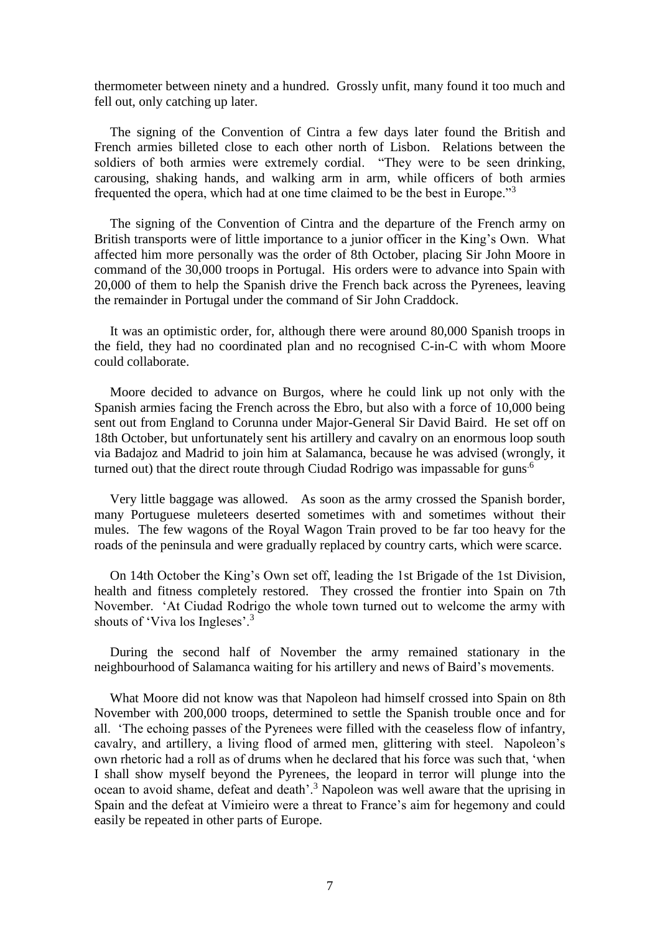thermometer between ninety and a hundred. Grossly unfit, many found it too much and fell out, only catching up later.

The signing of the Convention of Cintra a few days later found the British and French armies billeted close to each other north of Lisbon. Relations between the soldiers of both armies were extremely cordial. "They were to be seen drinking, carousing, shaking hands, and walking arm in arm, while officers of both armies frequented the opera, which had at one time claimed to be the best in Europe."<sup>3</sup>

The signing of the Convention of Cintra and the departure of the French army on British transports were of little importance to a junior officer in the King's Own. What affected him more personally was the order of 8th October, placing Sir John Moore in command of the 30,000 troops in Portugal. His orders were to advance into Spain with 20,000 of them to help the Spanish drive the French back across the Pyrenees, leaving the remainder in Portugal under the command of Sir John Craddock.

It was an optimistic order, for, although there were around 80,000 Spanish troops in the field, they had no coordinated plan and no recognised C-in-C with whom Moore could collaborate.

Moore decided to advance on Burgos, where he could link up not only with the Spanish armies facing the French across the Ebro, but also with a force of 10,000 being sent out from England to Corunna under Major-General Sir David Baird. He set off on 18th October, but unfortunately sent his artillery and cavalry on an enormous loop south via Badajoz and Madrid to join him at Salamanca, because he was advised (wrongly, it turned out) that the direct route through Ciudad Rodrigo was impassable for guns<sup>.6</sup>

Very little baggage was allowed. As soon as the army crossed the Spanish border, many Portuguese muleteers deserted sometimes with and sometimes without their mules. The few wagons of the Royal Wagon Train proved to be far too heavy for the roads of the peninsula and were gradually replaced by country carts, which were scarce.

On 14th October the King's Own set off, leading the 1st Brigade of the 1st Division, health and fitness completely restored. They crossed the frontier into Spain on 7th November. 'At Ciudad Rodrigo the whole town turned out to welcome the army with shouts of 'Viva los Ingleses'.<sup>3</sup>

During the second half of November the army remained stationary in the neighbourhood of Salamanca waiting for his artillery and news of Baird's movements.

What Moore did not know was that Napoleon had himself crossed into Spain on 8th November with 200,000 troops, determined to settle the Spanish trouble once and for all. 'The echoing passes of the Pyrenees were filled with the ceaseless flow of infantry, cavalry, and artillery, a living flood of armed men, glittering with steel. Napoleon's own rhetoric had a roll as of drums when he declared that his force was such that, 'when I shall show myself beyond the Pyrenees, the leopard in terror will plunge into the ocean to avoid shame, defeat and death'.<sup>3</sup> Napoleon was well aware that the uprising in Spain and the defeat at Vimieiro were a threat to France's aim for hegemony and could easily be repeated in other parts of Europe.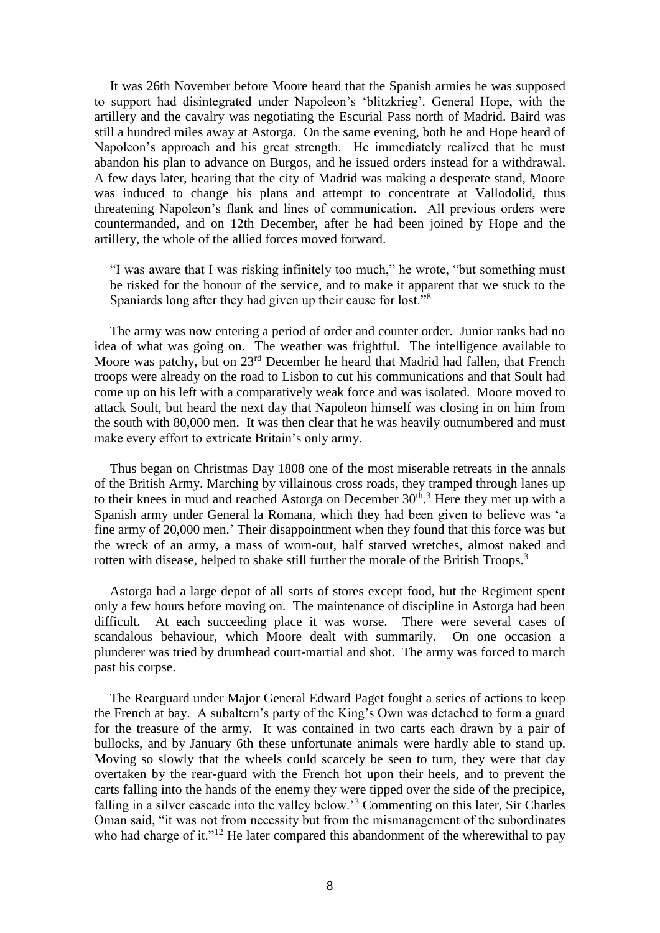It was 26th November before Moore heard that the Spanish armies he was supposed to support had disintegrated under Napoleon's 'blitzkrieg'. General Hope, with the artillery and the cavalry was negotiating the Escurial Pass north of Madrid. Baird was still a hundred miles away at Astorga. On the same evening, both he and Hope heard of Napoleon's approach and his great strength. He immediately realized that he must abandon his plan to advance on Burgos, and he issued orders instead for a withdrawal. A few days later, hearing that the city of Madrid was making a desperate stand, Moore was induced to change his plans and attempt to concentrate at Vallodolid, thus threatening Napoleon's flank and lines of communication. All previous orders were countermanded, and on 12th December, after he had been joined by Hope and the artillery, the whole of the allied forces moved forward.

"I was aware that I was risking infinitely too much," he wrote, "but something must be risked for the honour of the service, and to make it apparent that we stuck to the Spaniards long after they had given up their cause for lost."<sup>8</sup>

The army was now entering a period of order and counter order. Junior ranks had no idea of what was going on. The weather was frightful. The intelligence available to Moore was patchy, but on 23rd December he heard that Madrid had fallen, that French troops were already on the road to Lisbon to cut his communications and that Soult had come up on his left with a comparatively weak force and was isolated. Moore moved to attack Soult, but heard the next day that Napoleon himself was closing in on him from the south with 80,000 men. It was then clear that he was heavily outnumbered and must make every effort to extricate Britain's only army.

Thus began on Christmas Day 1808 one of the most miserable retreats in the annals of the British Army. Marching by villainous cross roads, they tramped through lanes up to their knees in mud and reached Astorga on December  $30<sup>th,3</sup>$  Here they met up with a Spanish army under General la Romana, which they had been given to believe was 'a fine army of 20,000 men.' Their disappointment when they found that this force was but the wreck of an army, a mass of worn-out, half starved wretches, almost naked and rotten with disease, helped to shake still further the morale of the British Troops.<sup>3</sup>

Astorga had a large depot of all sorts of stores except food, but the Regiment spent only a few hours before moving on. The maintenance of discipline in Astorga had been difficult. At each succeeding place it was worse. There were several cases of scandalous behaviour, which Moore dealt with summarily. On one occasion a plunderer was tried by drumhead court-martial and shot. The army was forced to march past his corpse.

The Rearguard under Major General Edward Paget fought a series of actions to keep the French at bay. A subaltern's party of the King's Own was detached to form a guard for the treasure of the army. It was contained in two carts each drawn by a pair of bullocks, and by January 6th these unfortunate animals were hardly able to stand up. Moving so slowly that the wheels could scarcely be seen to turn, they were that day overtaken by the rear-guard with the French hot upon their heels, and to prevent the carts falling into the hands of the enemy they were tipped over the side of the precipice, falling in a silver cascade into the valley below.'<sup>3</sup> Commenting on this later, Sir Charles Oman said, "it was not from necessity but from the mismanagement of the subordinates who had charge of it."<sup>12</sup> He later compared this abandonment of the wherewithal to pay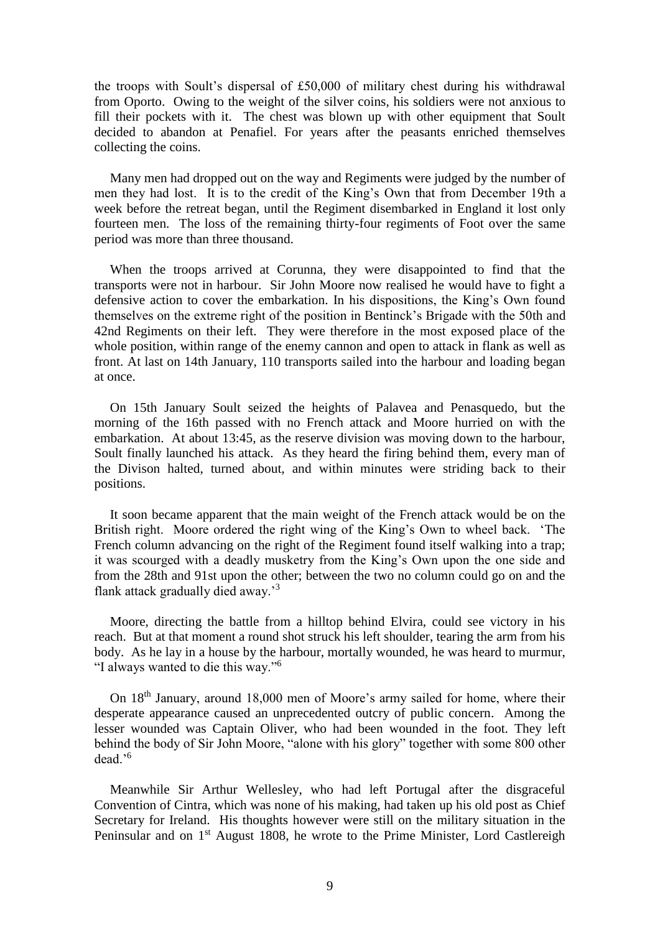the troops with Soult's dispersal of £50,000 of military chest during his withdrawal from Oporto. Owing to the weight of the silver coins, his soldiers were not anxious to fill their pockets with it. The chest was blown up with other equipment that Soult decided to abandon at Penafiel. For years after the peasants enriched themselves collecting the coins.

Many men had dropped out on the way and Regiments were judged by the number of men they had lost. It is to the credit of the King's Own that from December 19th a week before the retreat began, until the Regiment disembarked in England it lost only fourteen men. The loss of the remaining thirty-four regiments of Foot over the same period was more than three thousand.

When the troops arrived at Corunna, they were disappointed to find that the transports were not in harbour. Sir John Moore now realised he would have to fight a defensive action to cover the embarkation. In his dispositions, the King's Own found themselves on the extreme right of the position in Bentinck's Brigade with the 50th and 42nd Regiments on their left. They were therefore in the most exposed place of the whole position, within range of the enemy cannon and open to attack in flank as well as front. At last on 14th January, 110 transports sailed into the harbour and loading began at once.

On 15th January Soult seized the heights of Palavea and Penasquedo, but the morning of the 16th passed with no French attack and Moore hurried on with the embarkation. At about 13:45, as the reserve division was moving down to the harbour, Soult finally launched his attack. As they heard the firing behind them, every man of the Divison halted, turned about, and within minutes were striding back to their positions.

It soon became apparent that the main weight of the French attack would be on the British right. Moore ordered the right wing of the King's Own to wheel back. 'The French column advancing on the right of the Regiment found itself walking into a trap; it was scourged with a deadly musketry from the King's Own upon the one side and from the 28th and 91st upon the other; between the two no column could go on and the flank attack gradually died away.'<sup>3</sup>

Moore, directing the battle from a hilltop behind Elvira, could see victory in his reach. But at that moment a round shot struck his left shoulder, tearing the arm from his body. As he lay in a house by the harbour, mortally wounded, he was heard to murmur, "I always wanted to die this way."<sup>6</sup>

On 18th January, around 18,000 men of Moore's army sailed for home, where their desperate appearance caused an unprecedented outcry of public concern. Among the lesser wounded was Captain Oliver, who had been wounded in the foot. They left behind the body of Sir John Moore, "alone with his glory" together with some 800 other dead.'<sup>6</sup>

Meanwhile Sir Arthur Wellesley, who had left Portugal after the disgraceful Convention of Cintra, which was none of his making, had taken up his old post as Chief Secretary for Ireland. His thoughts however were still on the military situation in the Peninsular and on 1<sup>st</sup> August 1808, he wrote to the Prime Minister, Lord Castlereigh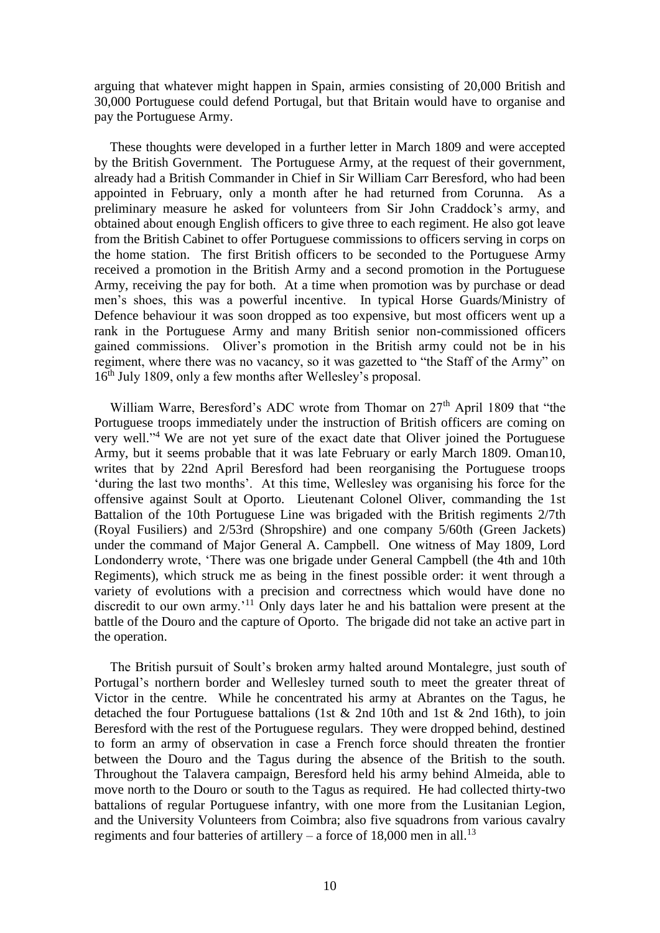arguing that whatever might happen in Spain, armies consisting of 20,000 British and 30,000 Portuguese could defend Portugal, but that Britain would have to organise and pay the Portuguese Army.

These thoughts were developed in a further letter in March 1809 and were accepted by the British Government. The Portuguese Army, at the request of their government, already had a British Commander in Chief in Sir William Carr Beresford, who had been appointed in February, only a month after he had returned from Corunna. As a preliminary measure he asked for volunteers from Sir John Craddock's army, and obtained about enough English officers to give three to each regiment. He also got leave from the British Cabinet to offer Portuguese commissions to officers serving in corps on the home station. The first British officers to be seconded to the Portuguese Army received a promotion in the British Army and a second promotion in the Portuguese Army, receiving the pay for both. At a time when promotion was by purchase or dead men's shoes, this was a powerful incentive. In typical Horse Guards/Ministry of Defence behaviour it was soon dropped as too expensive, but most officers went up a rank in the Portuguese Army and many British senior non-commissioned officers gained commissions. Oliver's promotion in the British army could not be in his regiment, where there was no vacancy, so it was gazetted to "the Staff of the Army" on 16<sup>th</sup> July 1809, only a few months after Wellesley's proposal.

William Warre, Beresford's ADC wrote from Thomar on 27<sup>th</sup> April 1809 that "the Portuguese troops immediately under the instruction of British officers are coming on very well."<sup>4</sup> We are not yet sure of the exact date that Oliver joined the Portuguese Army, but it seems probable that it was late February or early March 1809. Oman10, writes that by 22nd April Beresford had been reorganising the Portuguese troops 'during the last two months'. At this time, Wellesley was organising his force for the offensive against Soult at Oporto. Lieutenant Colonel Oliver, commanding the 1st Battalion of the 10th Portuguese Line was brigaded with the British regiments 2/7th (Royal Fusiliers) and 2/53rd (Shropshire) and one company 5/60th (Green Jackets) under the command of Major General A. Campbell. One witness of May 1809, Lord Londonderry wrote, 'There was one brigade under General Campbell (the 4th and 10th Regiments), which struck me as being in the finest possible order: it went through a variety of evolutions with a precision and correctness which would have done no discredit to our own army.<sup>'11</sup> Only days later he and his battalion were present at the battle of the Douro and the capture of Oporto. The brigade did not take an active part in the operation.

The British pursuit of Soult's broken army halted around Montalegre, just south of Portugal's northern border and Wellesley turned south to meet the greater threat of Victor in the centre. While he concentrated his army at Abrantes on the Tagus, he detached the four Portuguese battalions (1st & 2nd 10th and 1st & 2nd 16th), to join Beresford with the rest of the Portuguese regulars. They were dropped behind, destined to form an army of observation in case a French force should threaten the frontier between the Douro and the Tagus during the absence of the British to the south. Throughout the Talavera campaign, Beresford held his army behind Almeida, able to move north to the Douro or south to the Tagus as required. He had collected thirty-two battalions of regular Portuguese infantry, with one more from the Lusitanian Legion, and the University Volunteers from Coimbra; also five squadrons from various cavalry regiments and four batteries of artillery – a force of 18,000 men in all.<sup>13</sup>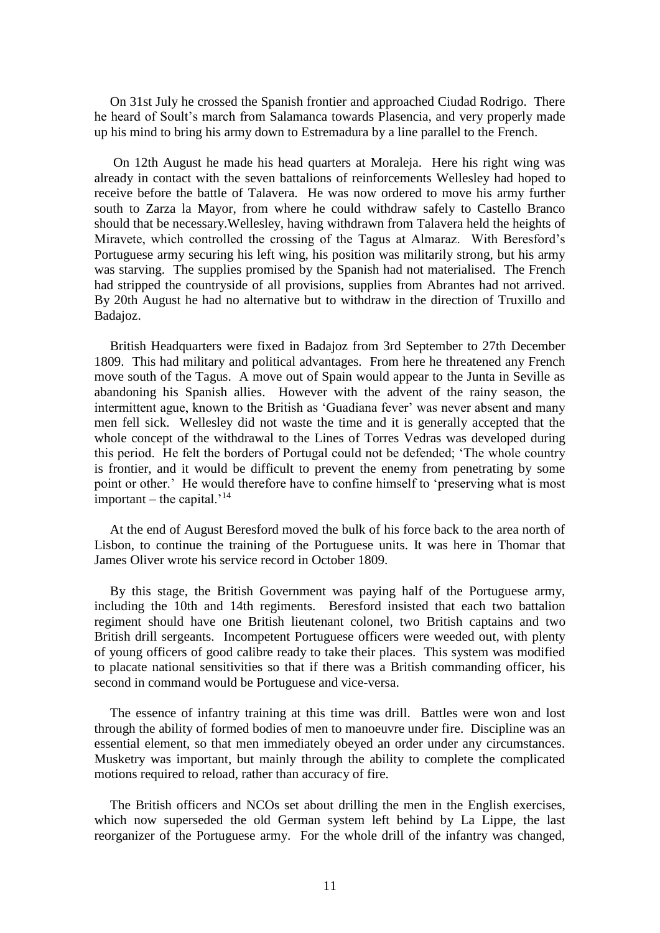On 31st July he crossed the Spanish frontier and approached Ciudad Rodrigo. There he heard of Soult's march from Salamanca towards Plasencia, and very properly made up his mind to bring his army down to Estremadura by a line parallel to the French.

On 12th August he made his head quarters at Moraleja. Here his right wing was already in contact with the seven battalions of reinforcements Wellesley had hoped to receive before the battle of Talavera. He was now ordered to move his army further south to Zarza la Mayor, from where he could withdraw safely to Castello Branco should that be necessary.Wellesley, having withdrawn from Talavera held the heights of Miravete, which controlled the crossing of the Tagus at Almaraz. With Beresford's Portuguese army securing his left wing, his position was militarily strong, but his army was starving. The supplies promised by the Spanish had not materialised. The French had stripped the countryside of all provisions, supplies from Abrantes had not arrived. By 20th August he had no alternative but to withdraw in the direction of Truxillo and Badajoz.

British Headquarters were fixed in Badajoz from 3rd September to 27th December 1809. This had military and political advantages. From here he threatened any French move south of the Tagus. A move out of Spain would appear to the Junta in Seville as abandoning his Spanish allies. However with the advent of the rainy season, the intermittent ague, known to the British as 'Guadiana fever' was never absent and many men fell sick. Wellesley did not waste the time and it is generally accepted that the whole concept of the withdrawal to the Lines of Torres Vedras was developed during this period. He felt the borders of Portugal could not be defended; 'The whole country is frontier, and it would be difficult to prevent the enemy from penetrating by some point or other.' He would therefore have to confine himself to 'preserving what is most important – the capital.<sup>'14</sup>

At the end of August Beresford moved the bulk of his force back to the area north of Lisbon, to continue the training of the Portuguese units. It was here in Thomar that James Oliver wrote his service record in October 1809.

By this stage, the British Government was paying half of the Portuguese army, including the 10th and 14th regiments. Beresford insisted that each two battalion regiment should have one British lieutenant colonel, two British captains and two British drill sergeants. Incompetent Portuguese officers were weeded out, with plenty of young officers of good calibre ready to take their places. This system was modified to placate national sensitivities so that if there was a British commanding officer, his second in command would be Portuguese and vice-versa.

The essence of infantry training at this time was drill. Battles were won and lost through the ability of formed bodies of men to manoeuvre under fire. Discipline was an essential element, so that men immediately obeyed an order under any circumstances. Musketry was important, but mainly through the ability to complete the complicated motions required to reload, rather than accuracy of fire.

The British officers and NCOs set about drilling the men in the English exercises, which now superseded the old German system left behind by La Lippe, the last reorganizer of the Portuguese army. For the whole drill of the infantry was changed,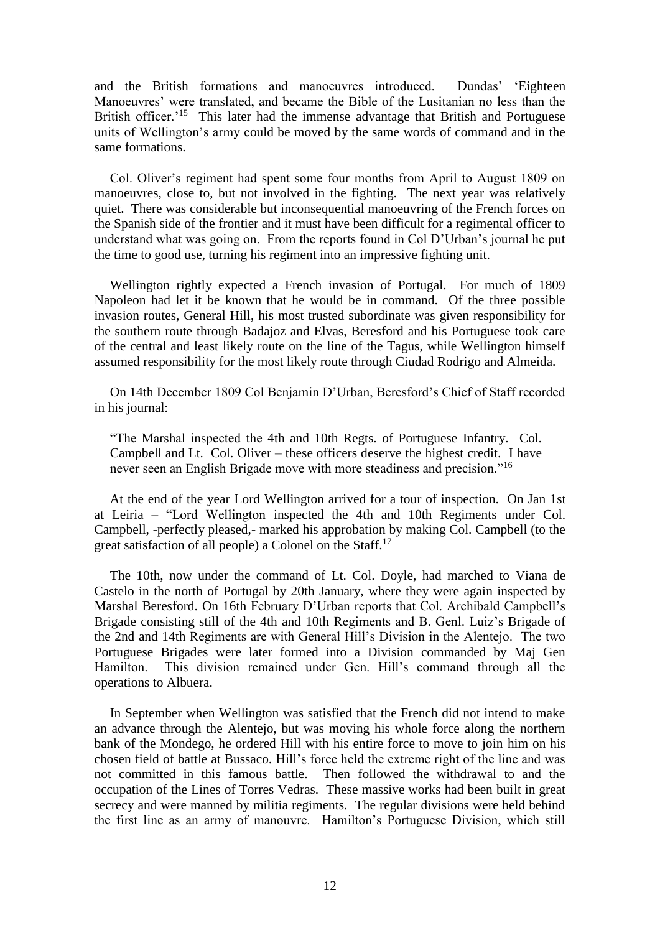and the British formations and manoeuvres introduced. Dundas' 'Eighteen Manoeuvres' were translated, and became the Bible of the Lusitanian no less than the British officer.<sup>15</sup> This later had the immense advantage that British and Portuguese units of Wellington's army could be moved by the same words of command and in the same formations.

Col. Oliver's regiment had spent some four months from April to August 1809 on manoeuvres, close to, but not involved in the fighting. The next year was relatively quiet. There was considerable but inconsequential manoeuvring of the French forces on the Spanish side of the frontier and it must have been difficult for a regimental officer to understand what was going on. From the reports found in Col D'Urban's journal he put the time to good use, turning his regiment into an impressive fighting unit.

Wellington rightly expected a French invasion of Portugal. For much of 1809 Napoleon had let it be known that he would be in command. Of the three possible invasion routes, General Hill, his most trusted subordinate was given responsibility for the southern route through Badajoz and Elvas, Beresford and his Portuguese took care of the central and least likely route on the line of the Tagus, while Wellington himself assumed responsibility for the most likely route through Ciudad Rodrigo and Almeida.

On 14th December 1809 Col Benjamin D'Urban, Beresford's Chief of Staff recorded in his journal:

"The Marshal inspected the 4th and 10th Regts. of Portuguese Infantry. Col. Campbell and Lt. Col. Oliver – these officers deserve the highest credit. I have never seen an English Brigade move with more steadiness and precision."<sup>16</sup>

At the end of the year Lord Wellington arrived for a tour of inspection. On Jan 1st at Leiria – "Lord Wellington inspected the 4th and 10th Regiments under Col. Campbell, -perfectly pleased,- marked his approbation by making Col. Campbell (to the great satisfaction of all people) a Colonel on the Staff.<sup>17</sup>

The 10th, now under the command of Lt. Col. Doyle, had marched to Viana de Castelo in the north of Portugal by 20th January, where they were again inspected by Marshal Beresford. On 16th February D'Urban reports that Col. Archibald Campbell's Brigade consisting still of the 4th and 10th Regiments and B. Genl. Luiz's Brigade of the 2nd and 14th Regiments are with General Hill's Division in the Alentejo. The two Portuguese Brigades were later formed into a Division commanded by Maj Gen Hamilton. This division remained under Gen. Hill's command through all the operations to Albuera.

In September when Wellington was satisfied that the French did not intend to make an advance through the Alentejo, but was moving his whole force along the northern bank of the Mondego, he ordered Hill with his entire force to move to join him on his chosen field of battle at Bussaco. Hill's force held the extreme right of the line and was not committed in this famous battle. Then followed the withdrawal to and the occupation of the Lines of Torres Vedras. These massive works had been built in great secrecy and were manned by militia regiments. The regular divisions were held behind the first line as an army of manouvre. Hamilton's Portuguese Division, which still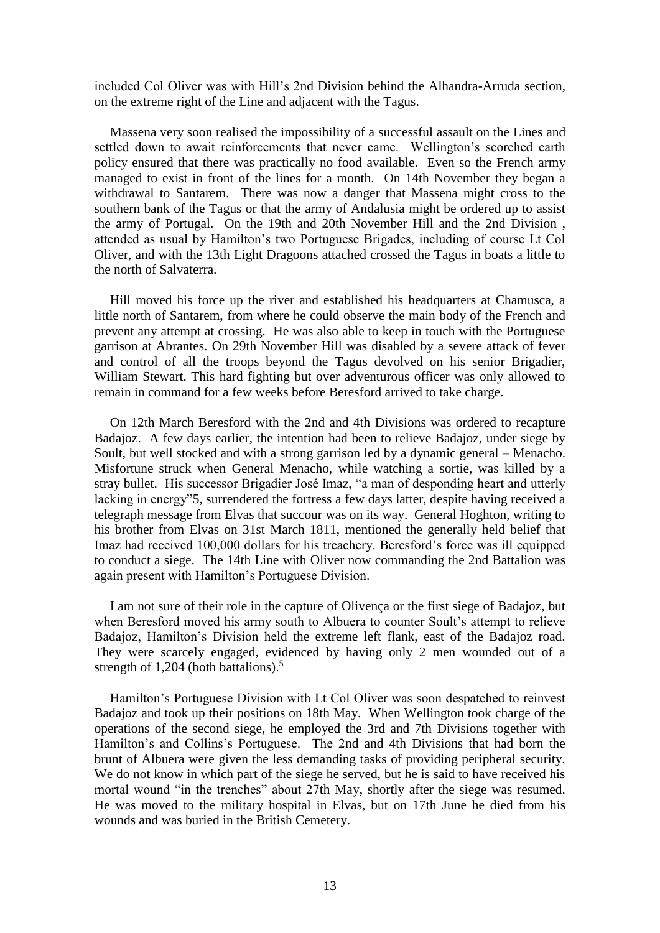included Col Oliver was with Hill's 2nd Division behind the Alhandra-Arruda section, on the extreme right of the Line and adjacent with the Tagus.

Massena very soon realised the impossibility of a successful assault on the Lines and settled down to await reinforcements that never came. Wellington's scorched earth policy ensured that there was practically no food available. Even so the French army managed to exist in front of the lines for a month. On 14th November they began a withdrawal to Santarem. There was now a danger that Massena might cross to the southern bank of the Tagus or that the army of Andalusia might be ordered up to assist the army of Portugal. On the 19th and 20th November Hill and the 2nd Division , attended as usual by Hamilton's two Portuguese Brigades, including of course Lt Col Oliver, and with the 13th Light Dragoons attached crossed the Tagus in boats a little to the north of Salvaterra.

Hill moved his force up the river and established his headquarters at Chamusca, a little north of Santarem, from where he could observe the main body of the French and prevent any attempt at crossing. He was also able to keep in touch with the Portuguese garrison at Abrantes. On 29th November Hill was disabled by a severe attack of fever and control of all the troops beyond the Tagus devolved on his senior Brigadier, William Stewart. This hard fighting but over adventurous officer was only allowed to remain in command for a few weeks before Beresford arrived to take charge.

On 12th March Beresford with the 2nd and 4th Divisions was ordered to recapture Badajoz. A few days earlier, the intention had been to relieve Badajoz, under siege by Soult, but well stocked and with a strong garrison led by a dynamic general – Menacho. Misfortune struck when General Menacho, while watching a sortie, was killed by a stray bullet. His successor Brigadier José Imaz, "a man of desponding heart and utterly lacking in energy"5, surrendered the fortress a few days latter, despite having received a telegraph message from Elvas that succour was on its way. General Hoghton, writing to his brother from Elvas on 31st March 1811, mentioned the generally held belief that Imaz had received 100,000 dollars for his treachery. Beresford's force was ill equipped to conduct a siege. The 14th Line with Oliver now commanding the 2nd Battalion was again present with Hamilton's Portuguese Division.

I am not sure of their role in the capture of Olivença or the first siege of Badajoz, but when Beresford moved his army south to Albuera to counter Soult's attempt to relieve Badajoz, Hamilton's Division held the extreme left flank, east of the Badajoz road. They were scarcely engaged, evidenced by having only 2 men wounded out of a strength of 1,204 (both battalions). 5

Hamilton's Portuguese Division with Lt Col Oliver was soon despatched to reinvest Badajoz and took up their positions on 18th May. When Wellington took charge of the operations of the second siege, he employed the 3rd and 7th Divisions together with Hamilton's and Collins's Portuguese. The 2nd and 4th Divisions that had born the brunt of Albuera were given the less demanding tasks of providing peripheral security. We do not know in which part of the siege he served, but he is said to have received his mortal wound "in the trenches" about 27th May, shortly after the siege was resumed. He was moved to the military hospital in Elvas, but on 17th June he died from his wounds and was buried in the British Cemetery.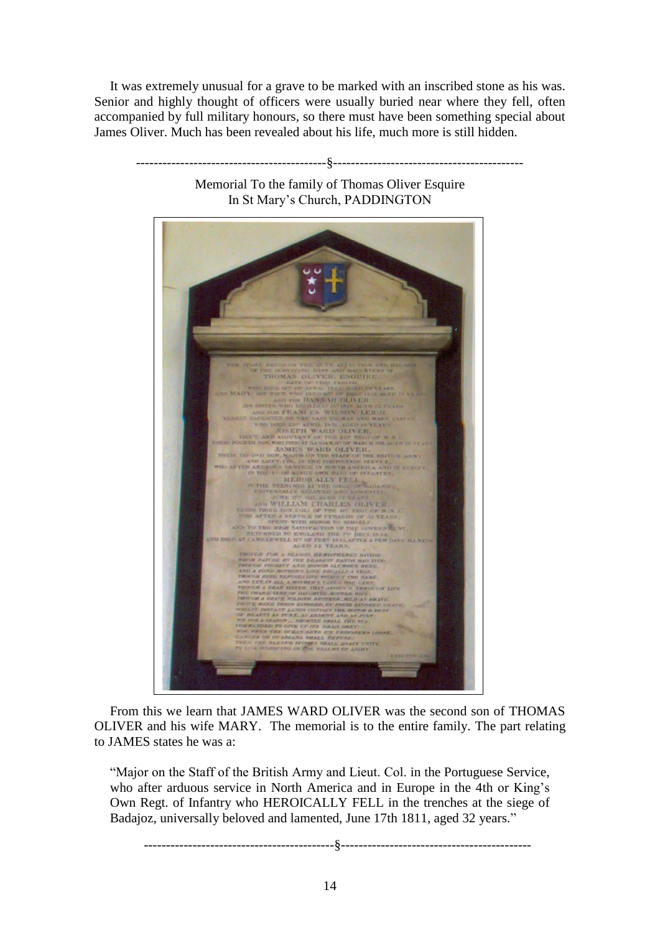It was extremely unusual for a grave to be marked with an inscribed stone as his was. Senior and highly thought of officers were usually buried near where they fell, often accompanied by full military honours, so there must have been something special about James Oliver. Much has been revealed about his life, much more is still hidden.



Memorial To the family of Thomas Oliver Esquire

-------------------------------------------§-------------------------------------------

From this we learn that JAMES WARD OLIVER was the second son of THOMAS OLIVER and his wife MARY. The memorial is to the entire family. The part relating to JAMES states he was a:

"Major on the Staff of the British Army and Lieut. Col. in the Portuguese Service, who after arduous service in North America and in Europe in the 4th or King's Own Regt. of Infantry who HEROICALLY FELL in the trenches at the siege of Badajoz, universally beloved and lamented, June 17th 1811, aged 32 years."

-------------------------------------------§-------------------------------------------